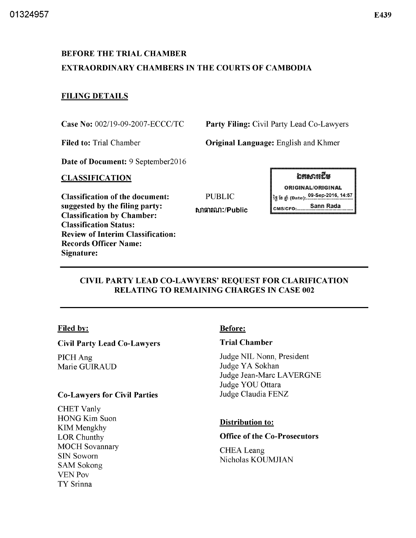# BEFORE THE TRIAL CHAMBER EXTRAORDINARY CHAMBERS IN THE COURTS OF CAMBODIA

# FILING DETAILS

Case No: 002119-09-2007-ECCC/TC

Filed to: Trial Chamber

Party Filing: Civil Party Lead Co-Lawyers

Original Language: English and Khmer

Date of Document: 9 September2016

### CLASSIFICATION

Classification of the document: suggested by the filing party: Classification by Chamber: Classification Status: Review of Interim Classification: Records Officer Name: Signature:

**อระอะ**เรีย ORIGINAL/ORIGINAL PUBLIC ig is gi (Date): ... 99-Sep-2016, 14:57 tบัญชาติมา:/Public **blue complete to the Sann Rada** 

# CIVIL PARTY LEAD CO-LAWYERS' REQUEST FOR CLARIFICATION RELATING TO REMAINING CHARGES IN CASE 002

### Filed by:

### Civil Party Lead Co-Lawyers

PICHAng Marie GUIRAUD

### Co-Lawyers for Civil Parties

CHET Vanly HONG Kim Suon KIM Mengkhy LOR Chunthy MOCH Sovannary SIN Sowom SAM Sokong VENPov TY Srinna

# Before:

# Trial Chamber

Judge NIL Nonn, President Judge YA Sokhan Judge Jean-Marc LAVERGNE Judge YOU Ottara Judge Claudia FENZ

# Distribution to:

# Office of the Co-Prosecutors

**CHEA** Leang Nicholas KOUMJIAN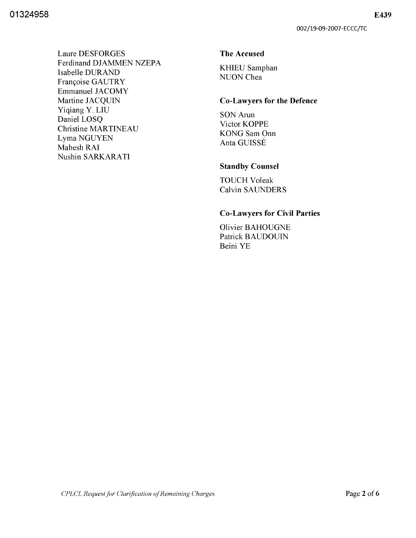**Laure DESFORGES** Ferdinand DJAMMEN NZEPA Isabelle DURAND Françoise GAUTRY **Emmanuel JACOMY** Martine JACQUIN Yiqiang Y. LIU Daniel LOSO **Christine MARTINEAU** Lyma NGUYEN Mahesh RAI Nushin SARKARATI

#### **The Accused**

**KHIEU Samphan** NUON Chea

#### **Co-Lawyers for the Defence**

SON Arun Victor KOPPE **KONG** Sam Onn Anta GUISSÉ

### **Standby Counsel**

**TOUCH Voleak Calvin SAUNDERS** 

#### **Co-Lawyers for Civil Parties**

**Olivier BAHOUGNE** Patrick BAUDOUIN Beini YE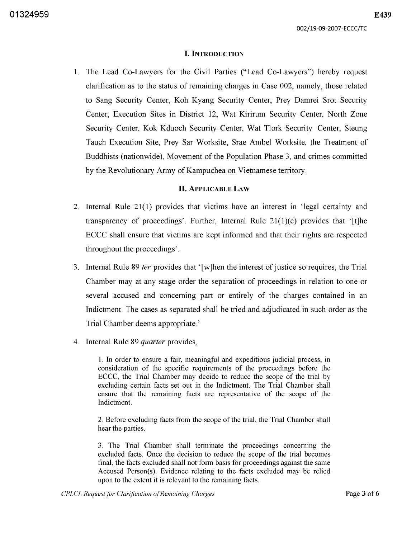#### **I.** INTRODUCTION

1. The Lead Co-Lawyers for the Civil Parties ("Lead Co-Lawyers") hereby request clarification as to the status of remaining charges in Case 002, namely, those related to Sang Security Center, Koh Kyang Security Center, Prey Damrei Srot Security Center, Execution Sites in District 12, Wat Kirirum Security Center, North Zone Security Center, Kok Kduoch Security Center, Wat Tlork Security Center, Steung Tauch Execution Site, Prey Sar Worksite, Srae Ambel Worksite, the Treatment of Buddhists (nationwide), Movement of the Population Phase 3, and crimes committed by the Revolutionary Army of Kampuchea on Vietnamese territory.

#### **II.** ApPLICABLE LAW

- 2. Internal Rule 21(1) provides that victims have an interest in 'legal certainty and transparency of proceedings'. Further, Internal Rule  $21(1)(c)$  provides that '[t]he ECCC shall ensure that victims are kept informed and that their rights are respected throughout the proceedings' .
- 3. Internal Rule 89 *ter* provides that' [w ]hen the interest of justice so requires, the Trial Chamber may at any stage order the separation of proceedings in relation to one or several accused and concerning part or entirely of the charges contained in an Indictment. The cases as separated shall be tried and adjudicated in such order as the Trial Chamber deems appropriate.'
- 4. Internal Rule 89 *quarter* provides,

1. In order to ensure a fair, meaningful and expeditious judicial process, in consideration of the specific requirements of the proceedings before the ECCC, the Trial Chamber may decide to reduce the scope of the trial by excluding certain facts set out in the Indictment. The Trial Chamber shall ensure that the remaining facts are representative of the scope of the Indictment.

2. Before excluding facts from the scope of the trial, the Trial Chamber shall hear the parties.

3. The Trial Chamber shall terminate the proceedings concerning the excluded facts. Once the decision to reduce the scope of the trial becomes final, the facts excluded shall not form basis for proceedings against the same Accused Person(s). Evidence relating to the facts excluded may be relied upon to the extent it is relevant to the remaining facts.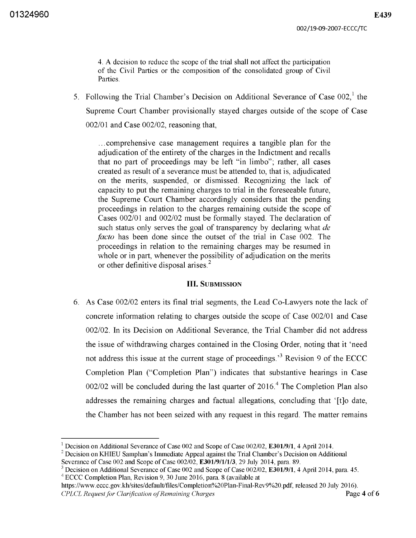4. A decision to reduce the scope of the trial shall not affect the participation of the Civil Parties or the composition of the consolidated group of Civil Parties.

5. Following the Trial Chamber's Decision on Additional Severance of Case  $002<sup>1</sup>$ , the Supreme Court Chamber provisionally stayed charges outside of the scope of Case 002/01 and Case 002/02, reasoning that,

... comprehensive case management requires a tangible plan for the adjudication of the entirety of the charges in the Indictment and recalls that no part of proceedings may be left "in limbo"; rather, all cases created as result of a severance must be attended to, that is, adjudicated on the merits, suspended, or dismissed. Recognizing the lack of capacity to put the remaining charges to trial in the foreseeable future, the Supreme Court Chamber accordingly considers that the pending proceedings in relation to the charges remaining outside the scope of Cases 002/01 and 002/02 must be formally stayed. The declaration of such status only serves the goal of transparency by declaring what *de facto* has been done since the outset of the trial in Case 002. The proceedings in relation to the remaining charges may be resumed in whole or in part, whenever the possibility of adjudication on the merits or other definitive disposal arises?

#### **III.** SUBMISSION

6. As Case 002/02 enters its final trial segments, the Lead Co-Lawyers note the lack of concrete information relating to charges outside the scope of Case 002/01 and Case 002/02. In its Decision on Additional Severance, the Trial Chamber did not address the issue of withdrawing charges contained in the Closing Order, noting that it 'need not address this issue at the current stage of proceedings.<sup>3</sup> Revision 9 of the ECCC Completion Plan ("Completion Plan") indicates that substantive hearings in Case 002/02 will be concluded during the last quarter of  $2016<sup>4</sup>$  The Completion Plan also addresses the remaining charges and factual allegations, concluding that' [t]o date, the Chamber has not been seized with any request in this regard. The matter remains

https://www.eccc.gov.kh/sites/default/files/Completion%20Plan-Final-Rev9%20.pdf, released 20 July 2016). *CPLCL Request for Clarification of Remaining Charges* **Page 4 of 6** 

<sup>&</sup>lt;sup>1</sup> Decision on Additional Severance of Case 002 and Scope of Case 002/02, **E301/9/1**, 4 April 2014.

 $2$  Decision on KHIEU Samphan's Immediate Appeal against the Trial Chamber's Decision on Additional Severance of Case 002 and Scope of Case 002/02, **E301/9/1/1/3**, 29 July 2014, para. 89.

 $3$  Decision on Additional Severance of Case 002 and Scope of Case 002/02, E301/9/1, 4 April 2014, para. 45. 4 ECCC Completion Plan, Revision 9,30 June 2016, para. 8 (available at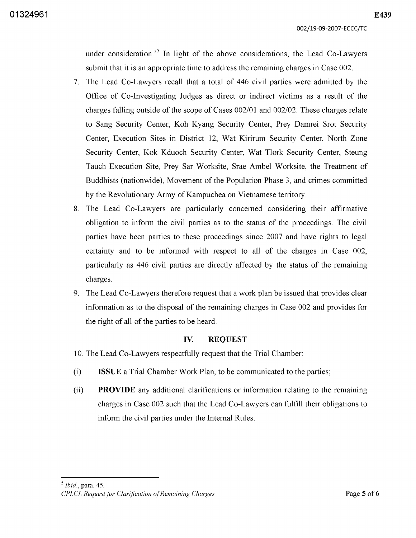**01324961** 

under consideration.'s **In** light of the above considerations, the Lead Co-Lawyers submit that it is an appropriate time to address the remaining charges in Case 002.

- 7. The Lead Co-Lawyers recall that a total of 446 civil parties were admitted by the Office of Co-Investigating Judges as direct or indirect victims as a result of the charges falling outside of the scope of Cases 002/01 and 002/02. These charges relate to Sang Security Center, Koh Kyang Security Center, Prey Damrei Srot Security Center, Execution Sites in District 12, Wat Kirirum Security Center, North Zone Security Center, Kok Kduoch Security Center, Wat Tlork Security Center, Steung Tauch Execution Site, Prey Sar Worksite, Srae Ambel Worksite, the Treatment of Buddhists (nationwide), Movement of the Population Phase 3, and crimes committed by the Revolutionary Army of Kampuchea on Vietnamese territory.
- 8. The Lead Co-Lawyers are particularly concerned considering their affirmative obligation to inform the civil parties as to the status of the proceedings. The civil parties have been parties to these proceedings since 2007 and have rights to legal certainty and to be informed with respect to all of the charges in Case 002, particularly as 446 civil parties are directly affected by the status of the remaining charges.
- 9. The Lead Co-Lawyers therefore request that a work plan be issued that provides clear information as to the disposal of the remaining charges in Case 002 and provides for the right of all of the parties to be heard.

### **IV. REQUEST**

- 10. The Lead Co-Lawyers respectfully request that the Trial Chamber:
- (i) **ISSUE** a Trial Chamber Work Plan, to be communicated to the parties;
- (ii) **PROVIDE** any additional clarifications or information relating to the remaining charges in Case 002 such that the Lead Co-Lawyers can fulfill their obligations to inform the civil parties under the Internal Rules.

*5 Ibid.,* para. 45.

*CPLCL Request for Clarification of Remaining Charges* **Page 5 of 6**